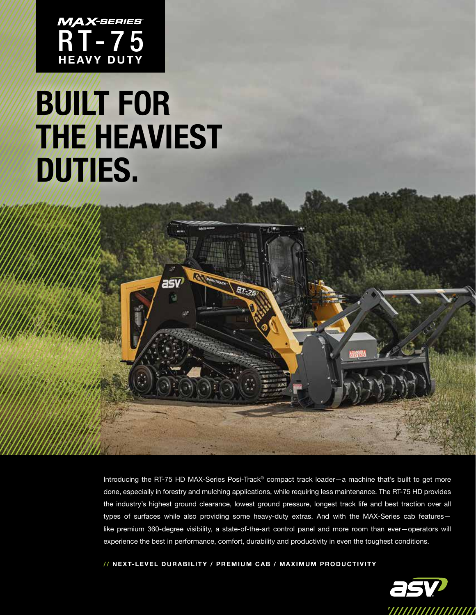

## **BUILT FOR THE HEAVIEST** DUTIES.

 $a5V$ 

Introducing the RT-75 HD MAX-Series Posi-Track® compact track loader—a machine that's built to get more done, especially in forestry and mulching applications, while requiring less maintenance. The RT-75 HD provides the industry's highest ground clearance, lowest ground pressure, longest track life and best traction over all types of surfaces while also providing some heavy-duty extras. And with the MAX-Series cab features like premium 360-degree visibility, a state-of-the-art control panel and more room than ever—operators will experience the best in performance, comfort, durability and productivity in even the toughest conditions.

// NEXT-LEVEL DURABILITY / PREMIUM CAB / MAXIMUM PRODUCTIVITY